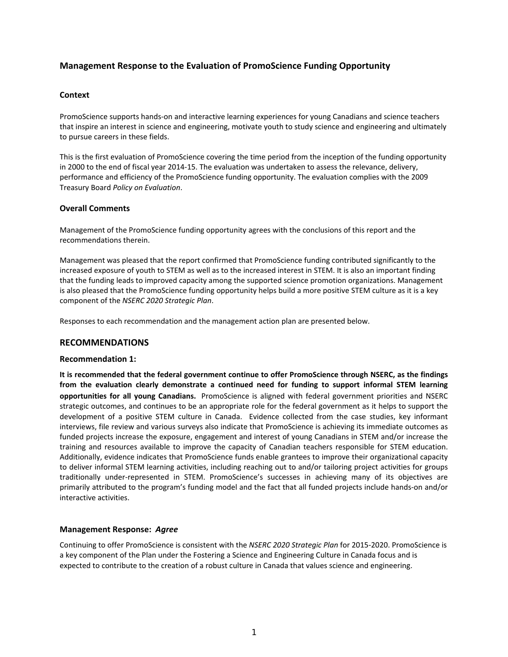# **Management Response to the Evaluation of PromoScience Funding Opportunity**

### **Context**

PromoScience supports hands‐on and interactive learning experiences for young Canadians and science teachers that inspire an interest in science and engineering, motivate youth to study science and engineering and ultimately to pursue careers in these fields.

This is the first evaluation of PromoScience covering the time period from the inception of the funding opportunity in 2000 to the end of fiscal year 2014‐15. The evaluation was undertaken to assess the relevance, delivery, performance and efficiency of the PromoScience funding opportunity. The evaluation complies with the 2009 Treasury Board *Policy on Evaluation*.

### **Overall Comments**

Management of the PromoScience funding opportunity agrees with the conclusions of this report and the recommendations therein.

Management was pleased that the report confirmed that PromoScience funding contributed significantly to the increased exposure of youth to STEM as well as to the increased interest in STEM. It is also an important finding that the funding leads to improved capacity among the supported science promotion organizations. Management is also pleased that the PromoScience funding opportunity helps build a more positive STEM culture as it is a key component of the *NSERC 2020 Strategic Plan*.

Responses to each recommendation and the management action plan are presented below.

## **RECOMMENDATIONS**

### **Recommendation 1:**

**It is recommended that the federal government continue to offer PromoScience through NSERC, as the findings from the evaluation clearly demonstrate a continued need for funding to support informal STEM learning opportunities for all young Canadians.** PromoScience is aligned with federal government priorities and NSERC strategic outcomes, and continues to be an appropriate role for the federal government as it helps to support the development of a positive STEM culture in Canada. Evidence collected from the case studies, key informant interviews, file review and various surveys also indicate that PromoScience is achieving its immediate outcomes as funded projects increase the exposure, engagement and interest of young Canadians in STEM and/or increase the training and resources available to improve the capacity of Canadian teachers responsible for STEM education. Additionally, evidence indicates that PromoScience funds enable grantees to improve their organizational capacity to deliver informal STEM learning activities, including reaching out to and/or tailoring project activities for groups traditionally under‐represented in STEM. PromoScience's successes in achieving many of its objectives are primarily attributed to the program's funding model and the fact that all funded projects include hands‐on and/or interactive activities.

### **Management Response:** *Agree*

Continuing to offer PromoScience is consistent with the *NSERC 2020 Strategic Plan* for 2015‐2020. PromoScience is a key component of the Plan under the Fostering a Science and Engineering Culture in Canada focus and is expected to contribute to the creation of a robust culture in Canada that values science and engineering.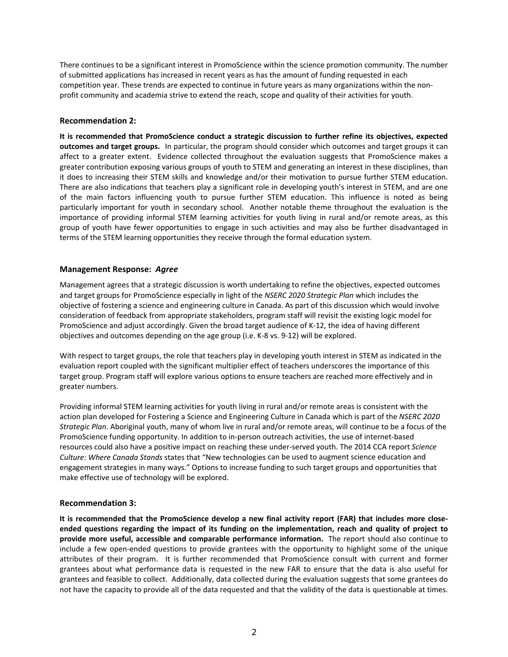There continues to be a significant interest in PromoScience within the science promotion community. The number of submitted applications has increased in recent years as has the amount of funding requested in each competition year. These trends are expected to continue in future years as many organizations within the non‐ profit community and academia strive to extend the reach, scope and quality of their activities for youth.

### **Recommendation 2:**

**It is recommended that PromoScience conduct a strategic discussion to further refine its objectives, expected outcomes and target groups.** In particular, the program should consider which outcomes and target groups it can affect to a greater extent. Evidence collected throughout the evaluation suggests that PromoScience makes a greater contribution exposing various groups of youth to STEM and generating an interest in these disciplines, than it does to increasing their STEM skills and knowledge and/or their motivation to pursue further STEM education. There are also indications that teachers play a significant role in developing youth's interest in STEM, and are one of the main factors influencing youth to pursue further STEM education. This influence is noted as being particularly important for youth in secondary school. Another notable theme throughout the evaluation is the importance of providing informal STEM learning activities for youth living in rural and/or remote areas, as this group of youth have fewer opportunities to engage in such activities and may also be further disadvantaged in terms of the STEM learning opportunities they receive through the formal education system.

### **Management Response:** *Agree*

Management agrees that a strategic discussion is worth undertaking to refine the objectives, expected outcomes and target groups for PromoScience especially in light of the *NSERC 2020 Strategic Plan* which includes the objective of fostering a science and engineering culture in Canada. As part of this discussion which would involve consideration of feedback from appropriate stakeholders, program staff will revisit the existing logic model for PromoScience and adjust accordingly. Given the broad target audience of K‐12, the idea of having different objectives and outcomes depending on the age group (i.e. K‐8 vs. 9‐12) will be explored.

With respect to target groups, the role that teachers play in developing youth interest in STEM as indicated in the evaluation report coupled with the significant multiplier effect of teachers underscores the importance of this target group. Program staff will explore various options to ensure teachers are reached more effectively and in greater numbers.

Providing informal STEM learning activities for youth living in rural and/or remote areas is consistent with the action plan developed for Fostering a Science and Engineering Culture in Canada which is part of the *NSERC 2020 Strategic Plan*. Aboriginal youth, many of whom live in rural and/or remote areas, will continue to be a focus of the PromoScience funding opportunity. In addition to in‐person outreach activities, the use of internet‐based resources could also have a positive impact on reaching these under‐served youth. The 2014 CCA report *Science Culture: Where Canada Stands* states that "New technologies can be used to augment science education and engagement strategies in many ways." Options to increase funding to such target groups and opportunities that make effective use of technology will be explored.

### **Recommendation 3:**

It is recommended that the PromoScience develop a new final activity report (FAR) that includes more closeended questions regarding the impact of its funding on the implementation, reach and quality of project to **provide more useful, accessible and comparable performance information.** The report should also continue to include a few open‐ended questions to provide grantees with the opportunity to highlight some of the unique attributes of their program. It is further recommended that PromoScience consult with current and former grantees about what performance data is requested in the new FAR to ensure that the data is also useful for grantees and feasible to collect. Additionally, data collected during the evaluation suggests that some grantees do not have the capacity to provide all of the data requested and that the validity of the data is questionable at times.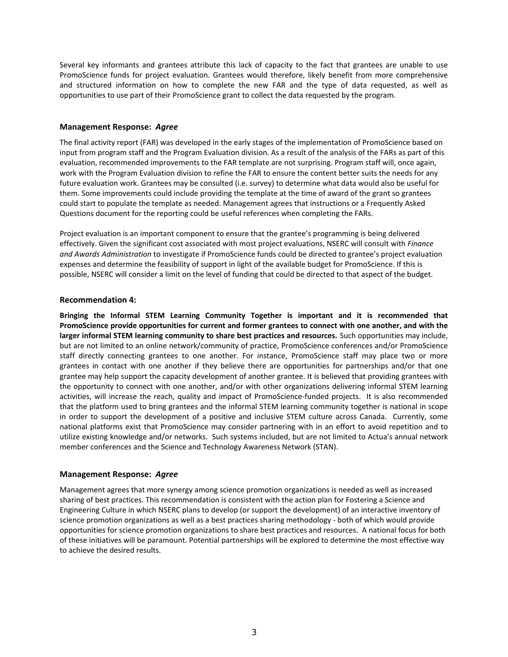Several key informants and grantees attribute this lack of capacity to the fact that grantees are unable to use PromoScience funds for project evaluation. Grantees would therefore, likely benefit from more comprehensive and structured information on how to complete the new FAR and the type of data requested, as well as opportunities to use part of their PromoScience grant to collect the data requested by the program.

### **Management Response:** *Agree*

The final activity report (FAR) was developed in the early stages of the implementation of PromoScience based on input from program staff and the Program Evaluation division. As a result of the analysis of the FARs as part of this evaluation, recommended improvements to the FAR template are not surprising. Program staff will, once again, work with the Program Evaluation division to refine the FAR to ensure the content better suits the needs for any future evaluation work. Grantees may be consulted (i.e. survey) to determine what data would also be useful for them. Some improvements could include providing the template at the time of award of the grant so grantees could start to populate the template as needed. Management agrees that instructions or a Frequently Asked Questions document for the reporting could be useful references when completing the FARs.

Project evaluation is an important component to ensure that the grantee's programming is being delivered effectively. Given the significant cost associated with most project evaluations, NSERC will consult with *Finance and Awards Administration* to investigate if PromoScience funds could be directed to grantee's project evaluation expenses and determine the feasibility of support in light of the available budget for PromoScience. If this is possible, NSERC will consider a limit on the level of funding that could be directed to that aspect of the budget.

### **Recommendation 4:**

**Bringing the Informal STEM Learning Community Together is important and it is recommended that PromoScience provide opportunities for current and former grantees to connect with one another, and with the larger informal STEM learning community to share best practices and resources.** Such opportunities may include, but are not limited to an online network/community of practice, PromoScience conferences and/or PromoScience staff directly connecting grantees to one another. For instance, PromoScience staff may place two or more grantees in contact with one another if they believe there are opportunities for partnerships and/or that one grantee may help support the capacity development of another grantee. It is believed that providing grantees with the opportunity to connect with one another, and/or with other organizations delivering informal STEM learning activities, will increase the reach, quality and impact of PromoScience-funded projects. It is also recommended that the platform used to bring grantees and the informal STEM learning community together is national in scope in order to support the development of a positive and inclusive STEM culture across Canada. Currently, some national platforms exist that PromoScience may consider partnering with in an effort to avoid repetition and to utilize existing knowledge and/or networks. Such systems included, but are not limited to Actua's annual network member conferences and the Science and Technology Awareness Network (STAN).

### **Management Response:** *Agree*

Management agrees that more synergy among science promotion organizations is needed as well as increased sharing of best practices. This recommendation is consistent with the action plan for Fostering a Science and Engineering Culture in which NSERC plans to develop (or support the development) of an interactive inventory of science promotion organizations as well as a best practices sharing methodology ‐ both of which would provide opportunities for science promotion organizations to share best practices and resources. A national focus for both of these initiatives will be paramount. Potential partnerships will be explored to determine the most effective way to achieve the desired results.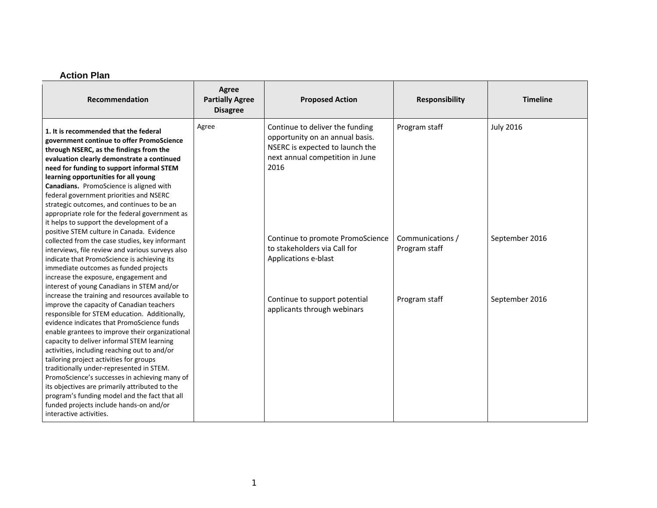#### **Action Plan**

| Recommendation                                                                                                                                                                                                                                                                                                                                                                                                                                                                                                                                                                                                                                                 | <b>Agree</b><br><b>Partially Agree</b><br><b>Disagree</b> | <b>Proposed Action</b>                                                                                                                           | <b>Responsibility</b>             | <b>Timeline</b>  |
|----------------------------------------------------------------------------------------------------------------------------------------------------------------------------------------------------------------------------------------------------------------------------------------------------------------------------------------------------------------------------------------------------------------------------------------------------------------------------------------------------------------------------------------------------------------------------------------------------------------------------------------------------------------|-----------------------------------------------------------|--------------------------------------------------------------------------------------------------------------------------------------------------|-----------------------------------|------------------|
| 1. It is recommended that the federal<br>government continue to offer PromoScience<br>through NSERC, as the findings from the<br>evaluation clearly demonstrate a continued<br>need for funding to support informal STEM<br>learning opportunities for all young<br>Canadians. PromoScience is aligned with<br>federal government priorities and NSERC<br>strategic outcomes, and continues to be an<br>appropriate role for the federal government as<br>it helps to support the development of a                                                                                                                                                             | Agree                                                     | Continue to deliver the funding<br>opportunity on an annual basis.<br>NSERC is expected to launch the<br>next annual competition in June<br>2016 | Program staff                     | <b>July 2016</b> |
| positive STEM culture in Canada. Evidence<br>collected from the case studies, key informant<br>interviews, file review and various surveys also<br>indicate that PromoScience is achieving its<br>immediate outcomes as funded projects<br>increase the exposure, engagement and<br>interest of young Canadians in STEM and/or                                                                                                                                                                                                                                                                                                                                 |                                                           | Continue to promote PromoScience<br>to stakeholders via Call for<br>Applications e-blast                                                         | Communications /<br>Program staff | September 2016   |
| increase the training and resources available to<br>improve the capacity of Canadian teachers<br>responsible for STEM education. Additionally,<br>evidence indicates that PromoScience funds<br>enable grantees to improve their organizational<br>capacity to deliver informal STEM learning<br>activities, including reaching out to and/or<br>tailoring project activities for groups<br>traditionally under-represented in STEM.<br>PromoScience's successes in achieving many of<br>its objectives are primarily attributed to the<br>program's funding model and the fact that all<br>funded projects include hands-on and/or<br>interactive activities. |                                                           | Continue to support potential<br>applicants through webinars                                                                                     | Program staff                     | September 2016   |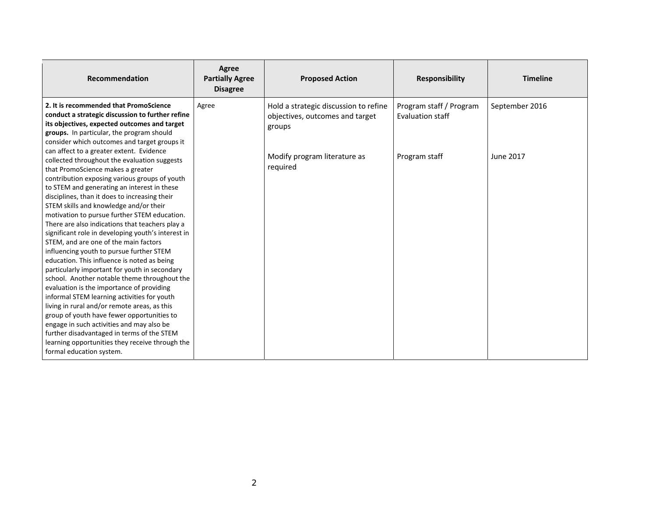| Recommendation                                                                                                                                                                                                                                                                                                                                                                                                                                                                                                                                                                                                                                                                                                                                                         | Agree<br><b>Partially Agree</b><br><b>Disagree</b> | <b>Proposed Action</b>                                                             | <b>Responsibility</b>                       | <b>Timeline</b>  |
|------------------------------------------------------------------------------------------------------------------------------------------------------------------------------------------------------------------------------------------------------------------------------------------------------------------------------------------------------------------------------------------------------------------------------------------------------------------------------------------------------------------------------------------------------------------------------------------------------------------------------------------------------------------------------------------------------------------------------------------------------------------------|----------------------------------------------------|------------------------------------------------------------------------------------|---------------------------------------------|------------------|
| 2. It is recommended that PromoScience<br>conduct a strategic discussion to further refine<br>its objectives, expected outcomes and target<br>groups. In particular, the program should<br>consider which outcomes and target groups it<br>can affect to a greater extent. Evidence                                                                                                                                                                                                                                                                                                                                                                                                                                                                                    | Agree                                              | Hold a strategic discussion to refine<br>objectives, outcomes and target<br>groups | Program staff / Program<br>Evaluation staff | September 2016   |
| collected throughout the evaluation suggests<br>that PromoScience makes a greater<br>contribution exposing various groups of youth<br>to STEM and generating an interest in these<br>disciplines, than it does to increasing their<br>STEM skills and knowledge and/or their<br>motivation to pursue further STEM education.<br>There are also indications that teachers play a<br>significant role in developing youth's interest in<br>STEM, and are one of the main factors<br>influencing youth to pursue further STEM<br>education. This influence is noted as being<br>particularly important for youth in secondary<br>school. Another notable theme throughout the<br>evaluation is the importance of providing<br>informal STEM learning activities for youth |                                                    | Modify program literature as<br>required                                           | Program staff                               | <b>June 2017</b> |
| living in rural and/or remote areas, as this<br>group of youth have fewer opportunities to<br>engage in such activities and may also be<br>further disadvantaged in terms of the STEM<br>learning opportunities they receive through the<br>formal education system.                                                                                                                                                                                                                                                                                                                                                                                                                                                                                                   |                                                    |                                                                                    |                                             |                  |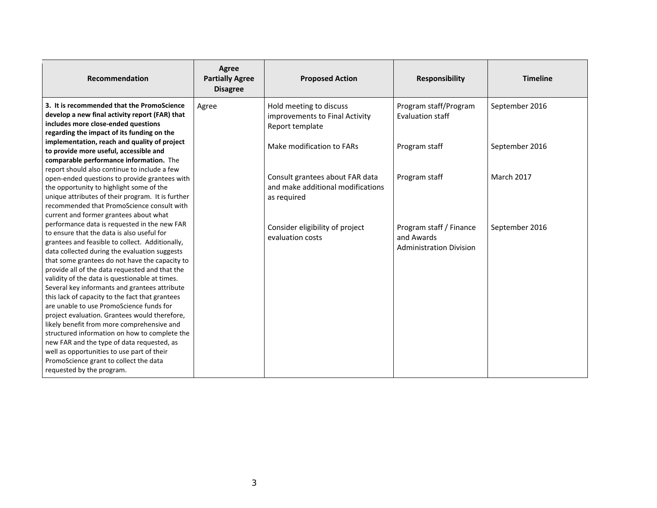| Recommendation                                                                                                                                                                                                                                                                                                                                                                                                                                                                                                                                                                                                                                                                                                                                                                             | Agree<br><b>Partially Agree</b><br><b>Disagree</b> | <b>Proposed Action</b>                                                              | <b>Responsibility</b>                                                   | <b>Timeline</b> |
|--------------------------------------------------------------------------------------------------------------------------------------------------------------------------------------------------------------------------------------------------------------------------------------------------------------------------------------------------------------------------------------------------------------------------------------------------------------------------------------------------------------------------------------------------------------------------------------------------------------------------------------------------------------------------------------------------------------------------------------------------------------------------------------------|----------------------------------------------------|-------------------------------------------------------------------------------------|-------------------------------------------------------------------------|-----------------|
| 3. It is recommended that the PromoScience<br>develop a new final activity report (FAR) that<br>includes more close-ended questions<br>regarding the impact of its funding on the                                                                                                                                                                                                                                                                                                                                                                                                                                                                                                                                                                                                          | Agree                                              | Hold meeting to discuss<br>improvements to Final Activity<br>Report template        | Program staff/Program<br>Evaluation staff                               | September 2016  |
| implementation, reach and quality of project<br>to provide more useful, accessible and<br>comparable performance information. The<br>report should also continue to include a few                                                                                                                                                                                                                                                                                                                                                                                                                                                                                                                                                                                                          |                                                    | Make modification to FARs                                                           | Program staff                                                           | September 2016  |
| open-ended questions to provide grantees with<br>the opportunity to highlight some of the<br>unique attributes of their program. It is further<br>recommended that PromoScience consult with<br>current and former grantees about what                                                                                                                                                                                                                                                                                                                                                                                                                                                                                                                                                     |                                                    | Consult grantees about FAR data<br>and make additional modifications<br>as reguired | Program staff                                                           | March 2017      |
| performance data is requested in the new FAR<br>to ensure that the data is also useful for<br>grantees and feasible to collect. Additionally,<br>data collected during the evaluation suggests<br>that some grantees do not have the capacity to<br>provide all of the data requested and that the<br>validity of the data is questionable at times.<br>Several key informants and grantees attribute<br>this lack of capacity to the fact that grantees<br>are unable to use PromoScience funds for<br>project evaluation. Grantees would therefore,<br>likely benefit from more comprehensive and<br>structured information on how to complete the<br>new FAR and the type of data requested, as<br>well as opportunities to use part of their<br>PromoScience grant to collect the data |                                                    | Consider eligibility of project<br>evaluation costs                                 | Program staff / Finance<br>and Awards<br><b>Administration Division</b> | September 2016  |